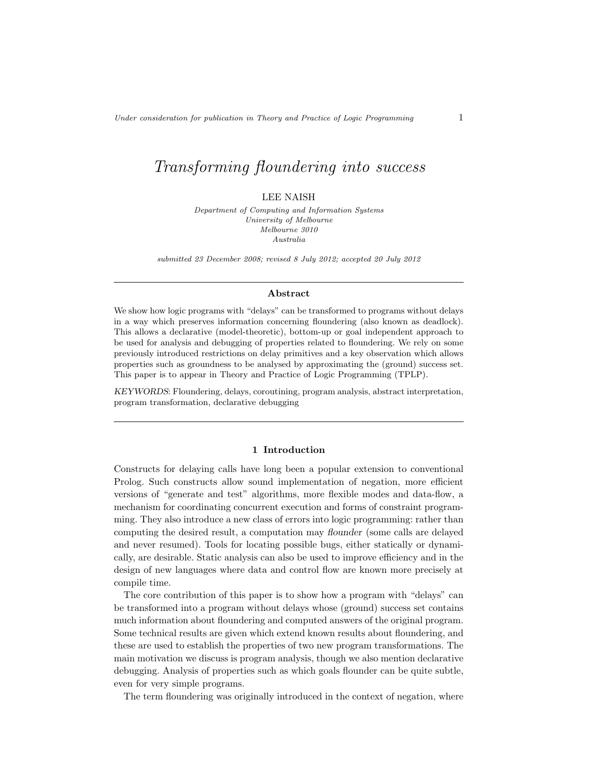# Transforming floundering into success

## LEE NAISH

Department of Computing and Information Systems University of Melbourne Melbourne 3010 Australia

submitted 23 December 2008; revised 8 July 2012; accepted 20 July 2012

#### Abstract

We show how logic programs with "delays" can be transformed to programs without delays in a way which preserves information concerning floundering (also known as deadlock). This allows a declarative (model-theoretic), bottom-up or goal independent approach to be used for analysis and debugging of properties related to floundering. We rely on some previously introduced restrictions on delay primitives and a key observation which allows properties such as groundness to be analysed by approximating the (ground) success set. This paper is to appear in Theory and Practice of Logic Programming (TPLP).

KEYWORDS: Floundering, delays, coroutining, program analysis, abstract interpretation, program transformation, declarative debugging

### 1 Introduction

Constructs for delaying calls have long been a popular extension to conventional Prolog. Such constructs allow sound implementation of negation, more efficient versions of "generate and test" algorithms, more flexible modes and data-flow, a mechanism for coordinating concurrent execution and forms of constraint programming. They also introduce a new class of errors into logic programming: rather than computing the desired result, a computation may flounder (some calls are delayed and never resumed). Tools for locating possible bugs, either statically or dynamically, are desirable. Static analysis can also be used to improve efficiency and in the design of new languages where data and control flow are known more precisely at compile time.

The core contribution of this paper is to show how a program with "delays" can be transformed into a program without delays whose (ground) success set contains much information about floundering and computed answers of the original program. Some technical results are given which extend known results about floundering, and these are used to establish the properties of two new program transformations. The main motivation we discuss is program analysis, though we also mention declarative debugging. Analysis of properties such as which goals flounder can be quite subtle, even for very simple programs.

The term floundering was originally introduced in the context of negation, where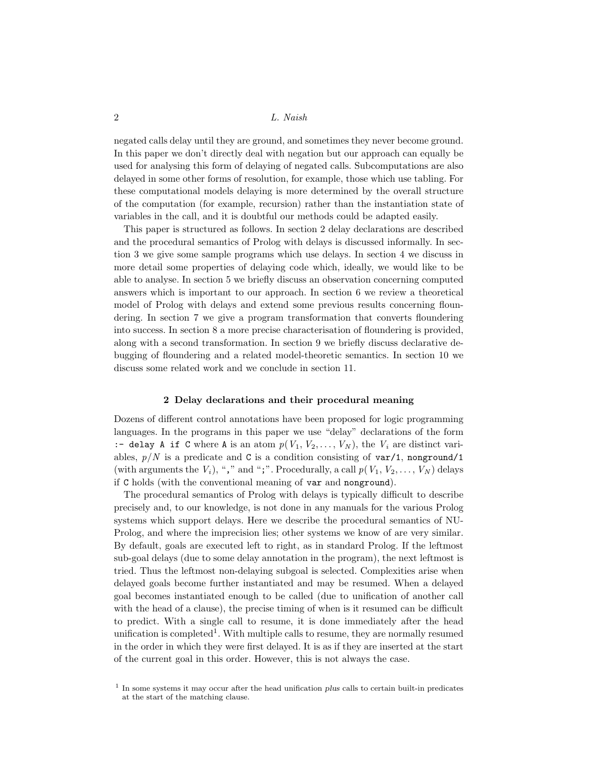negated calls delay until they are ground, and sometimes they never become ground. In this paper we don't directly deal with negation but our approach can equally be used for analysing this form of delaying of negated calls. Subcomputations are also delayed in some other forms of resolution, for example, those which use tabling. For these computational models delaying is more determined by the overall structure of the computation (for example, recursion) rather than the instantiation state of variables in the call, and it is doubtful our methods could be adapted easily.

This paper is structured as follows. In section 2 delay declarations are described and the procedural semantics of Prolog with delays is discussed informally. In section 3 we give some sample programs which use delays. In section 4 we discuss in more detail some properties of delaying code which, ideally, we would like to be able to analyse. In section 5 we briefly discuss an observation concerning computed answers which is important to our approach. In section 6 we review a theoretical model of Prolog with delays and extend some previous results concerning floundering. In section 7 we give a program transformation that converts floundering into success. In section 8 a more precise characterisation of floundering is provided, along with a second transformation. In section 9 we briefly discuss declarative debugging of floundering and a related model-theoretic semantics. In section 10 we discuss some related work and we conclude in section 11.

## 2 Delay declarations and their procedural meaning

Dozens of different control annotations have been proposed for logic programming languages. In the programs in this paper we use "delay" declarations of the form :- delay A if C where A is an atom  $p(V_1, V_2, \ldots, V_N)$ , the  $V_i$  are distinct variables,  $p/N$  is a predicate and C is a condition consisting of  $var/1$ , nonground/1 (with arguments the  $V_i$ ), "," and ";". Procedurally, a call  $p(V_1, V_2, \ldots, V_N)$  delays if C holds (with the conventional meaning of var and nonground).

The procedural semantics of Prolog with delays is typically difficult to describe precisely and, to our knowledge, is not done in any manuals for the various Prolog systems which support delays. Here we describe the procedural semantics of NU-Prolog, and where the imprecision lies; other systems we know of are very similar. By default, goals are executed left to right, as in standard Prolog. If the leftmost sub-goal delays (due to some delay annotation in the program), the next leftmost is tried. Thus the leftmost non-delaying subgoal is selected. Complexities arise when delayed goals become further instantiated and may be resumed. When a delayed goal becomes instantiated enough to be called (due to unification of another call with the head of a clause), the precise timing of when is it resumed can be difficult to predict. With a single call to resume, it is done immediately after the head unification is completed<sup>1</sup>. With multiple calls to resume, they are normally resumed in the order in which they were first delayed. It is as if they are inserted at the start of the current goal in this order. However, this is not always the case.

<sup>&</sup>lt;sup>1</sup> In some systems it may occur after the head unification plus calls to certain built-in predicates at the start of the matching clause.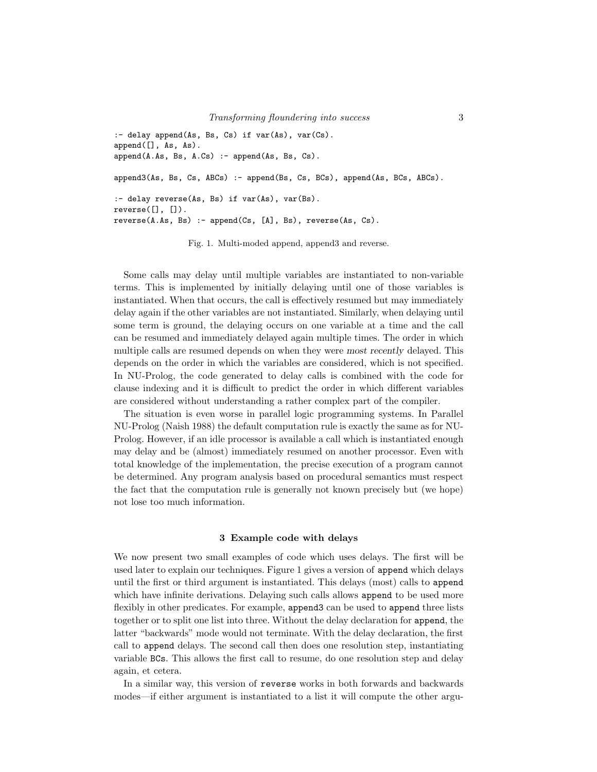```
:- delay append(As, Bs, Cs) if var(As), var(Cs).
append([], As, As).
append(A.As, Bs, A.Cs) :- append(As, Bs, Cs).
append3(As, Bs, Cs, ABCs) :- append(Bs, Cs, BCs), append(As, BCs, ABCs).
:- delay reverse(As, Bs) if var(As), var(Bs).
reverse([], []).
reverse(A.As, Bs) :- append(Cs, [A], Bs), reverse(As, Cs).
```
Fig. 1. Multi-moded append, append3 and reverse.

Some calls may delay until multiple variables are instantiated to non-variable terms. This is implemented by initially delaying until one of those variables is instantiated. When that occurs, the call is effectively resumed but may immediately delay again if the other variables are not instantiated. Similarly, when delaying until some term is ground, the delaying occurs on one variable at a time and the call can be resumed and immediately delayed again multiple times. The order in which multiple calls are resumed depends on when they were most recently delayed. This depends on the order in which the variables are considered, which is not specified. In NU-Prolog, the code generated to delay calls is combined with the code for clause indexing and it is difficult to predict the order in which different variables are considered without understanding a rather complex part of the compiler.

The situation is even worse in parallel logic programming systems. In Parallel NU-Prolog (Naish 1988) the default computation rule is exactly the same as for NU-Prolog. However, if an idle processor is available a call which is instantiated enough may delay and be (almost) immediately resumed on another processor. Even with total knowledge of the implementation, the precise execution of a program cannot be determined. Any program analysis based on procedural semantics must respect the fact that the computation rule is generally not known precisely but (we hope) not lose too much information.

#### 3 Example code with delays

We now present two small examples of code which uses delays. The first will be used later to explain our techniques. Figure 1 gives a version of append which delays until the first or third argument is instantiated. This delays (most) calls to append which have infinite derivations. Delaying such calls allows append to be used more flexibly in other predicates. For example, append3 can be used to append three lists together or to split one list into three. Without the delay declaration for append, the latter "backwards" mode would not terminate. With the delay declaration, the first call to append delays. The second call then does one resolution step, instantiating variable BCs. This allows the first call to resume, do one resolution step and delay again, et cetera.

In a similar way, this version of reverse works in both forwards and backwards modes—if either argument is instantiated to a list it will compute the other argu-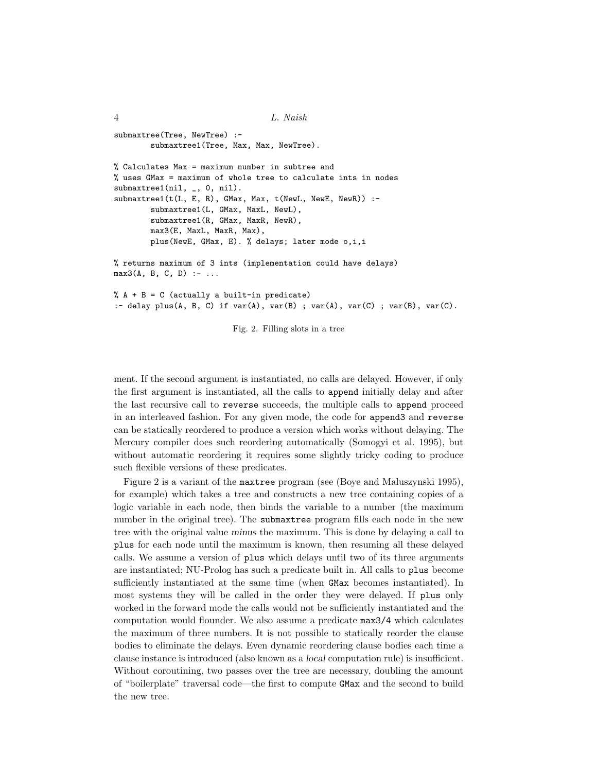```
4 L. Naish
submaxtree(Tree, NewTree) :-
       submaxtree1(Tree, Max, Max, NewTree).
% Calculates Max = maximum number in subtree and
% uses GMax = maximum of whole tree to calculate ints in nodes
submaxtree1(nil, _, 0, nil).
submaxtree1(t(L, E, R), GMax, Max, t(NewL, NewE, NewR)) :-
       submaxtree1(L, GMax, MaxL, NewL),
       submaxtree1(R, GMax, MaxR, NewR),
       max3(E, MaxL, MaxR, Max),
       plus(NewE, GMax, E). % delays; later mode o,i,i
% returns maximum of 3 ints (implementation could have delays)
max3(A, B, C, D) :- ...
% A + B = C (actually a built-in predicate)
:- delay plus(A, B, C) if var(A), var(B); var(A), var(C); var(B), var(C).
```
Fig. 2. Filling slots in a tree

ment. If the second argument is instantiated, no calls are delayed. However, if only the first argument is instantiated, all the calls to append initially delay and after the last recursive call to reverse succeeds, the multiple calls to append proceed in an interleaved fashion. For any given mode, the code for append3 and reverse can be statically reordered to produce a version which works without delaying. The Mercury compiler does such reordering automatically (Somogyi et al. 1995), but without automatic reordering it requires some slightly tricky coding to produce such flexible versions of these predicates.

Figure 2 is a variant of the maxtree program (see (Boye and Maluszynski 1995), for example) which takes a tree and constructs a new tree containing copies of a logic variable in each node, then binds the variable to a number (the maximum number in the original tree). The submaxtree program fills each node in the new tree with the original value minus the maximum. This is done by delaying a call to plus for each node until the maximum is known, then resuming all these delayed calls. We assume a version of plus which delays until two of its three arguments are instantiated; NU-Prolog has such a predicate built in. All calls to plus become sufficiently instantiated at the same time (when GMax becomes instantiated). In most systems they will be called in the order they were delayed. If plus only worked in the forward mode the calls would not be sufficiently instantiated and the computation would flounder. We also assume a predicate max3/4 which calculates the maximum of three numbers. It is not possible to statically reorder the clause bodies to eliminate the delays. Even dynamic reordering clause bodies each time a clause instance is introduced (also known as a local computation rule) is insufficient. Without coroutining, two passes over the tree are necessary, doubling the amount of "boilerplate" traversal code—the first to compute GMax and the second to build the new tree.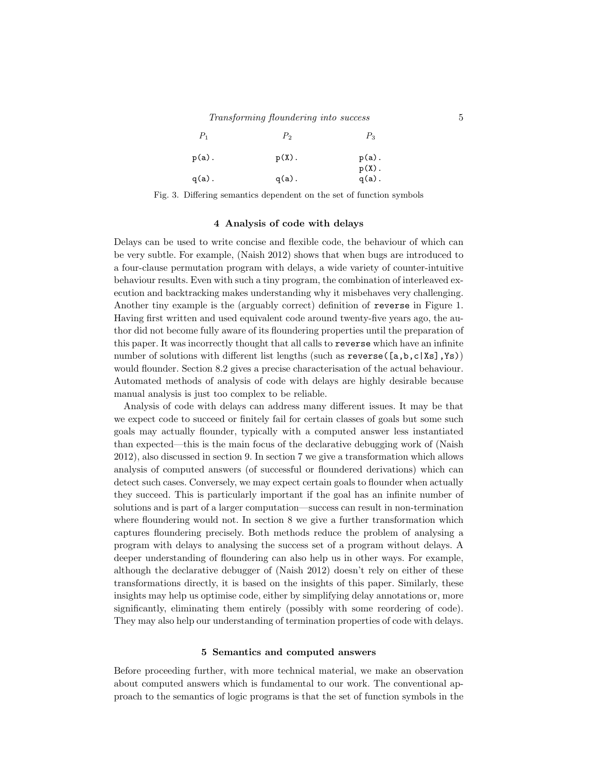| $P_1$    | $P_{2}$  | $P_3$                            |
|----------|----------|----------------------------------|
| $p(a)$ . | $p(X)$ . | $p(a)$ .<br>$p(X)$ .<br>$q(a)$ . |
| $q(a)$ . | $q(a)$ . |                                  |

Fig. 3. Differing semantics dependent on the set of function symbols

#### 4 Analysis of code with delays

Delays can be used to write concise and flexible code, the behaviour of which can be very subtle. For example, (Naish 2012) shows that when bugs are introduced to a four-clause permutation program with delays, a wide variety of counter-intuitive behaviour results. Even with such a tiny program, the combination of interleaved execution and backtracking makes understanding why it misbehaves very challenging. Another tiny example is the (arguably correct) definition of reverse in Figure 1. Having first written and used equivalent code around twenty-five years ago, the author did not become fully aware of its floundering properties until the preparation of this paper. It was incorrectly thought that all calls to reverse which have an infinite number of solutions with different list lengths (such as reverse([a,b,c|Xs],Ys)) would flounder. Section 8.2 gives a precise characterisation of the actual behaviour. Automated methods of analysis of code with delays are highly desirable because manual analysis is just too complex to be reliable.

Analysis of code with delays can address many different issues. It may be that we expect code to succeed or finitely fail for certain classes of goals but some such goals may actually flounder, typically with a computed answer less instantiated than expected—this is the main focus of the declarative debugging work of (Naish 2012), also discussed in section 9. In section 7 we give a transformation which allows analysis of computed answers (of successful or floundered derivations) which can detect such cases. Conversely, we may expect certain goals to flounder when actually they succeed. This is particularly important if the goal has an infinite number of solutions and is part of a larger computation—success can result in non-termination where floundering would not. In section 8 we give a further transformation which captures floundering precisely. Both methods reduce the problem of analysing a program with delays to analysing the success set of a program without delays. A deeper understanding of floundering can also help us in other ways. For example, although the declarative debugger of (Naish 2012) doesn't rely on either of these transformations directly, it is based on the insights of this paper. Similarly, these insights may help us optimise code, either by simplifying delay annotations or, more significantly, eliminating them entirely (possibly with some reordering of code). They may also help our understanding of termination properties of code with delays.

#### 5 Semantics and computed answers

Before proceeding further, with more technical material, we make an observation about computed answers which is fundamental to our work. The conventional approach to the semantics of logic programs is that the set of function symbols in the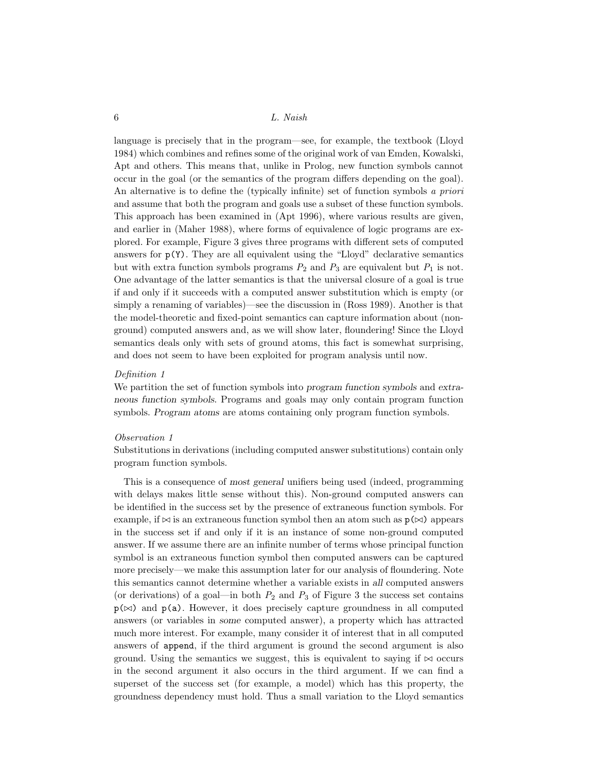language is precisely that in the program—see, for example, the textbook (Lloyd 1984) which combines and refines some of the original work of van Emden, Kowalski, Apt and others. This means that, unlike in Prolog, new function symbols cannot occur in the goal (or the semantics of the program differs depending on the goal). An alternative is to define the (typically infinite) set of function symbols a priori and assume that both the program and goals use a subset of these function symbols. This approach has been examined in (Apt 1996), where various results are given, and earlier in (Maher 1988), where forms of equivalence of logic programs are explored. For example, Figure 3 gives three programs with different sets of computed answers for  $p(Y)$ . They are all equivalent using the "Lloyd" declarative semantics but with extra function symbols programs  $P_2$  and  $P_3$  are equivalent but  $P_1$  is not. One advantage of the latter semantics is that the universal closure of a goal is true if and only if it succeeds with a computed answer substitution which is empty (or simply a renaming of variables)—see the discussion in (Ross 1989). Another is that the model-theoretic and fixed-point semantics can capture information about (nonground) computed answers and, as we will show later, floundering! Since the Lloyd semantics deals only with sets of ground atoms, this fact is somewhat surprising, and does not seem to have been exploited for program analysis until now.

## Definition 1

We partition the set of function symbols into program function symbols and extraneous function symbols. Programs and goals may only contain program function symbols. Program atoms are atoms containing only program function symbols.

#### Observation 1

Substitutions in derivations (including computed answer substitutions) contain only program function symbols.

This is a consequence of most general unifiers being used (indeed, programming with delays makes little sense without this). Non-ground computed answers can be identified in the success set by the presence of extraneous function symbols. For example, if  $\bowtie$  is an extraneous function symbol then an atom such as  $p(\bowtie)$  appears in the success set if and only if it is an instance of some non-ground computed answer. If we assume there are an infinite number of terms whose principal function symbol is an extraneous function symbol then computed answers can be captured more precisely—we make this assumption later for our analysis of floundering. Note this semantics cannot determine whether a variable exists in all computed answers (or derivations) of a goal—in both  $P_2$  and  $P_3$  of Figure 3 the success set contains  $p(\infty)$  and  $p(a)$ . However, it does precisely capture groundness in all computed answers (or variables in some computed answer), a property which has attracted much more interest. For example, many consider it of interest that in all computed answers of append, if the third argument is ground the second argument is also ground. Using the semantics we suggest, this is equivalent to saying if  $\bowtie$  occurs in the second argument it also occurs in the third argument. If we can find a superset of the success set (for example, a model) which has this property, the groundness dependency must hold. Thus a small variation to the Lloyd semantics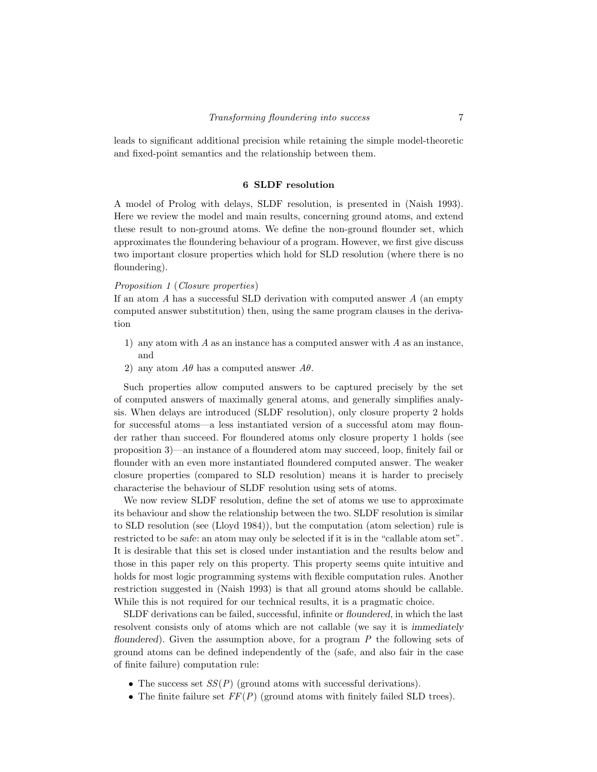leads to significant additional precision while retaining the simple model-theoretic and fixed-point semantics and the relationship between them.

## 6 SLDF resolution

A model of Prolog with delays, SLDF resolution, is presented in (Naish 1993). Here we review the model and main results, concerning ground atoms, and extend these result to non-ground atoms. We define the non-ground flounder set, which approximates the floundering behaviour of a program. However, we first give discuss two important closure properties which hold for SLD resolution (where there is no floundering).

## Proposition 1 (Closure properties)

If an atom  $A$  has a successful SLD derivation with computed answer  $A$  (an empty computed answer substitution) then, using the same program clauses in the derivation

- 1) any atom with A as an instance has a computed answer with A as an instance, and
- 2) any atom  $A\theta$  has a computed answer  $A\theta$ .

Such properties allow computed answers to be captured precisely by the set of computed answers of maximally general atoms, and generally simplifies analysis. When delays are introduced (SLDF resolution), only closure property 2 holds for successful atoms—a less instantiated version of a successful atom may flounder rather than succeed. For floundered atoms only closure property 1 holds (see proposition 3)—an instance of a floundered atom may succeed, loop, finitely fail or flounder with an even more instantiated floundered computed answer. The weaker closure properties (compared to SLD resolution) means it is harder to precisely characterise the behaviour of SLDF resolution using sets of atoms.

We now review SLDF resolution, define the set of atoms we use to approximate its behaviour and show the relationship between the two. SLDF resolution is similar to SLD resolution (see (Lloyd 1984)), but the computation (atom selection) rule is restricted to be safe: an atom may only be selected if it is in the "callable atom set". It is desirable that this set is closed under instantiation and the results below and those in this paper rely on this property. This property seems quite intuitive and holds for most logic programming systems with flexible computation rules. Another restriction suggested in (Naish 1993) is that all ground atoms should be callable. While this is not required for our technical results, it is a pragmatic choice.

SLDF derivations can be failed, successful, infinite or floundered, in which the last resolvent consists only of atoms which are not callable (we say it is immediately floundered). Given the assumption above, for a program  $P$  the following sets of ground atoms can be defined independently of the (safe, and also fair in the case of finite failure) computation rule:

- The success set  $SS(P)$  (ground atoms with successful derivations).
- The finite failure set  $FF(P)$  (ground atoms with finitely failed SLD trees).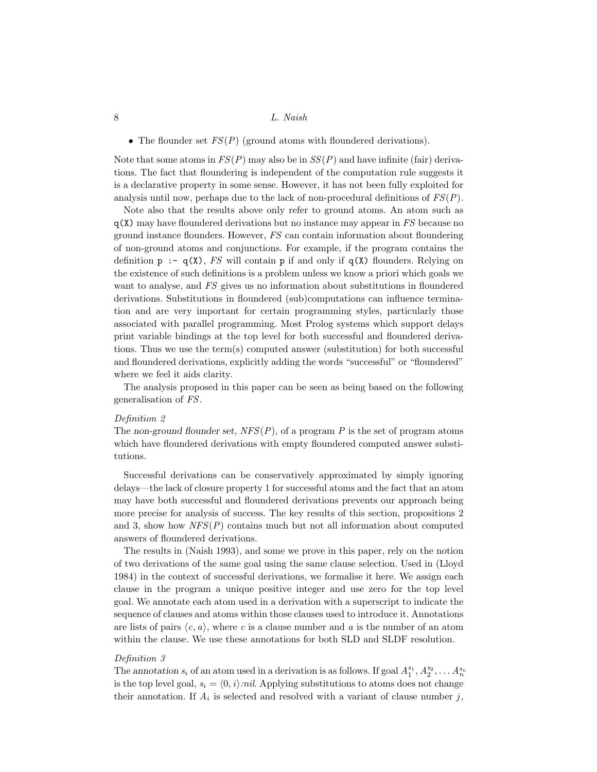• The flounder set  $FS(P)$  (ground atoms with floundered derivations).

Note that some atoms in  $FS(P)$  may also be in  $SS(P)$  and have infinite (fair) derivations. The fact that floundering is independent of the computation rule suggests it is a declarative property in some sense. However, it has not been fully exploited for analysis until now, perhaps due to the lack of non-procedural definitions of  $FS(P)$ .

Note also that the results above only refer to ground atoms. An atom such as  $q(X)$  may have floundered derivations but no instance may appear in FS because no ground instance flounders. However, FS can contain information about floundering of non-ground atoms and conjunctions. For example, if the program contains the definition  $p : -q(X)$ , FS will contain p if and only if  $q(X)$  flounders. Relying on the existence of such definitions is a problem unless we know a priori which goals we want to analyse, and FS gives us no information about substitutions in floundered derivations. Substitutions in floundered (sub)computations can influence termination and are very important for certain programming styles, particularly those associated with parallel programming. Most Prolog systems which support delays print variable bindings at the top level for both successful and floundered derivations. Thus we use the term(s) computed answer (substitution) for both successful and floundered derivations, explicitly adding the words "successful" or "floundered" where we feel it aids clarity.

The analysis proposed in this paper can be seen as being based on the following generalisation of FS.

## Definition 2

The non-ground flounder set,  $NFS(P)$ , of a program P is the set of program atoms which have floundered derivations with empty floundered computed answer substitutions.

Successful derivations can be conservatively approximated by simply ignoring delays—the lack of closure property 1 for successful atoms and the fact that an atom may have both successful and floundered derivations prevents our approach being more precise for analysis of success. The key results of this section, propositions 2 and 3, show how  $NFS(P)$  contains much but not all information about computed answers of floundered derivations.

The results in (Naish 1993), and some we prove in this paper, rely on the notion of two derivations of the same goal using the same clause selection. Used in (Lloyd 1984) in the context of successful derivations, we formalise it here. We assign each clause in the program a unique positive integer and use zero for the top level goal. We annotate each atom used in a derivation with a superscript to indicate the sequence of clauses and atoms within those clauses used to introduce it. Annotations are lists of pairs  $\langle c, a \rangle$ , where c is a clause number and a is the number of an atom within the clause. We use these annotations for both SLD and SLDF resolution.

## Definition 3

The annotation  $s_i$  of an atom used in a derivation is as follows. If goal  $A_1^{s_1}, A_2^{s_2}, \ldots, A_n^{s_n}$ is the top level goal,  $s_i = \langle 0, i \rangle$ :nil. Applying substitutions to atoms does not change their annotation. If  $A_i$  is selected and resolved with a variant of clause number j,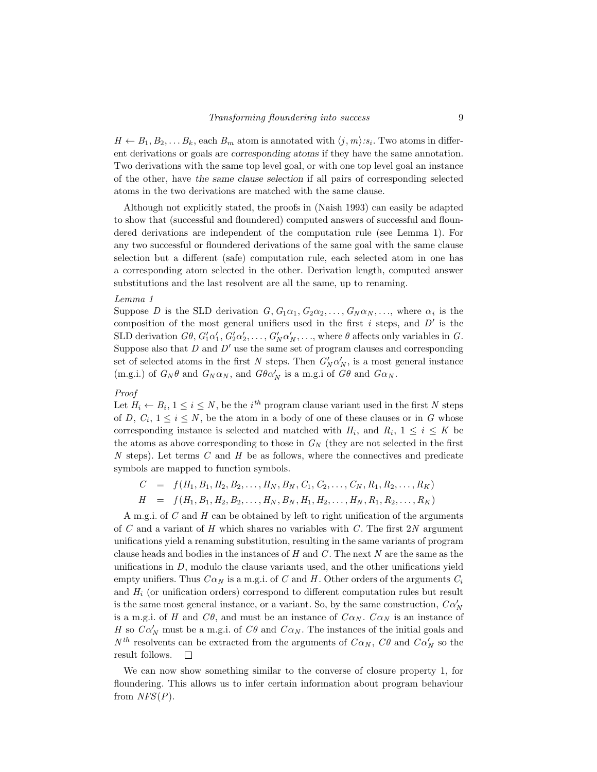$H \leftarrow B_1, B_2, \ldots B_k$ , each  $B_m$  atom is annotated with  $\langle j, m \rangle : s_i$ . Two atoms in different derivations or goals are corresponding atoms if they have the same annotation. Two derivations with the same top level goal, or with one top level goal an instance of the other, have the same clause selection if all pairs of corresponding selected atoms in the two derivations are matched with the same clause.

Although not explicitly stated, the proofs in (Naish 1993) can easily be adapted to show that (successful and floundered) computed answers of successful and floundered derivations are independent of the computation rule (see Lemma 1). For any two successful or floundered derivations of the same goal with the same clause selection but a different (safe) computation rule, each selected atom in one has a corresponding atom selected in the other. Derivation length, computed answer substitutions and the last resolvent are all the same, up to renaming.

## Lemma 1

Suppose D is the SLD derivation  $G, G_1\alpha_1, G_2\alpha_2, \ldots, G_N\alpha_N, \ldots$ , where  $\alpha_i$  is the composition of the most general unifiers used in the first  $i$  steps, and  $D'$  is the SLD derivation  $G\theta$ ,  $G'_1\alpha'_1$ ,  $G'_2\alpha'_2$ , ...,  $G'_N\alpha'_N$ , ..., where  $\theta$  affects only variables in  $G$ . Suppose also that  $D$  and  $D'$  use the same set of program clauses and corresponding set of selected atoms in the first N steps. Then  $G'_{N} \alpha'_{N}$ , is a most general instance (m.g.i.) of  $G_N \theta$  and  $G_N \alpha_N$ , and  $G \theta \alpha'_N$  is a m.g.i of  $G \theta$  and  $G \alpha_N$ .

## Proof

Let  $H_i \leftarrow B_i$ ,  $1 \leq i \leq N$ , be the *i*<sup>th</sup> program clause variant used in the first N steps of D,  $C_i$ ,  $1 \leq i \leq N$ , be the atom in a body of one of these clauses or in G whose corresponding instance is selected and matched with  $H_i$ , and  $R_i$ ,  $1 \leq i \leq K$  be the atoms as above corresponding to those in  $G_N$  (they are not selected in the first  $N$  steps). Let terms  $C$  and  $H$  be as follows, where the connectives and predicate symbols are mapped to function symbols.

 $C = f(H_1, B_1, H_2, B_2, \ldots, H_N, B_N, C_1, C_2, \ldots, C_N, R_1, R_2, \ldots, R_K)$ 

 $H = f(H_1, B_1, H_2, B_2, \ldots, H_N, B_N, H_1, H_2, \ldots, H_N, R_1, R_2, \ldots, R_K)$ 

A m.g.i. of C and H can be obtained by left to right unification of the arguments of  $C$  and a variant of  $H$  which shares no variables with  $C$ . The first  $2N$  argument unifications yield a renaming substitution, resulting in the same variants of program clause heads and bodies in the instances of  $H$  and  $C$ . The next  $N$  are the same as the unifications in  $D$ , modulo the clause variants used, and the other unifications yield empty unifiers. Thus  $C\alpha_N$  is a m.g.i. of C and H. Other orders of the arguments  $C_i$ and  $H_i$  (or unification orders) correspond to different computation rules but result is the same most general instance, or a variant. So, by the same construction,  $\mathit{C}\alpha'_N$ is a m.g.i. of H and  $C\theta$ , and must be an instance of  $C\alpha_N$ .  $C\alpha_N$  is an instance of H so  $C\alpha'_N$  must be a m.g.i. of  $C\theta$  and  $C\alpha_N$ . The instances of the initial goals and  $N^{th}$  resolvents can be extracted from the arguments of  $C\alpha_N$ ,  $C\theta$  and  $C\alpha'_N$  so the result follows.  $\Box$ 

We can now show something similar to the converse of closure property 1, for floundering. This allows us to infer certain information about program behaviour from  $NFS(P)$ .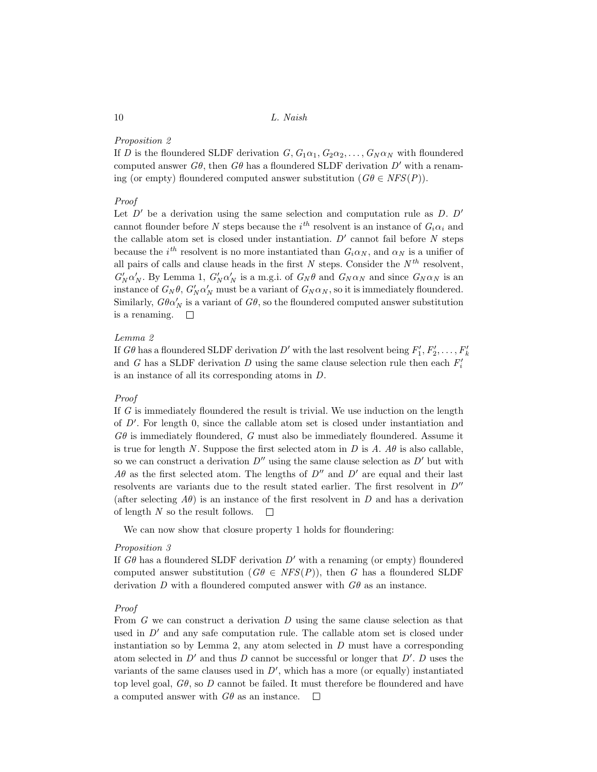# Proposition 2

If D is the floundered SLDF derivation  $G, G_1\alpha_1, G_2\alpha_2, \ldots, G_N\alpha_N$  with floundered computed answer  $G\theta$ , then  $G\theta$  has a floundered SLDF derivation  $D'$  with a renaming (or empty) floundered computed answer substitution  $(G\theta \in NFS(P)).$ 

## Proof

Let  $D'$  be a derivation using the same selection and computation rule as  $D. D'$ cannot flounder before N steps because the  $i^{th}$  resolvent is an instance of  $G_i \alpha_i$  and the callable atom set is closed under instantiation.  $D'$  cannot fail before  $N$  steps because the  $i^{th}$  resolvent is no more instantiated than  $G_i \alpha_N$ , and  $\alpha_N$  is a unifier of all pairs of calls and clause heads in the first  $N$  steps. Consider the  $N<sup>th</sup>$  resolvent,  $G'_N \alpha'_N$ . By Lemma 1,  $G'_N \alpha'_N$  is a m.g.i. of  $G_N \theta$  and  $G_N \alpha_N$  and since  $G_N \alpha_N$  is an instance of  $G_N \theta$ ,  $G'_N \alpha'_N$  must be a variant of  $G_N \alpha_N$ , so it is immediately floundered. Similarly,  $G\theta\alpha'_N$  is a variant of  $G\theta$ , so the floundered computed answer substitution is a renaming.  $\square$ 

## Lemma 2

If  $G\theta$  has a floundered SLDF derivation  $D'$  with the last resolvent being  $F'_1, F'_2, \ldots, F'_k$ and G has a SLDF derivation  $D$  using the same clause selection rule then each  $F_i'$ is an instance of all its corresponding atoms in D.

## Proof

If G is immediately floundered the result is trivial. We use induction on the length of  $D'$ . For length 0, since the callable atom set is closed under instantiation and  $G\theta$  is immediately floundered, G must also be immediately floundered. Assume it is true for length N. Suppose the first selected atom in D is A.  $A\theta$  is also callable, so we can construct a derivation  $D''$  using the same clause selection as  $D'$  but with  $A\theta$  as the first selected atom. The lengths of  $D''$  and  $D'$  are equal and their last resolvents are variants due to the result stated earlier. The first resolvent in  $D''$ (after selecting  $A\theta$ ) is an instance of the first resolvent in D and has a derivation of length  $N$  so the result follows.  $\Box$ 

We can now show that closure property 1 holds for floundering:

#### Proposition 3

If  $G\theta$  has a floundered SLDF derivation D' with a renaming (or empty) floundered computed answer substitution  $(G\theta \in NFS(P))$ , then G has a floundered SLDF derivation D with a floundered computed answer with  $G\theta$  as an instance.

#### Proof

From  $G$  we can construct a derivation  $D$  using the same clause selection as that used in  $D'$  and any safe computation rule. The callable atom set is closed under instantiation so by Lemma 2, any atom selected in  $D$  must have a corresponding atom selected in  $D'$  and thus D cannot be successful or longer that  $D'. D$  uses the variants of the same clauses used in  $D'$ , which has a more (or equally) instantiated top level goal,  $G\theta$ , so D cannot be failed. It must therefore be floundered and have a computed answer with  $G\theta$  as an instance.  $\Box$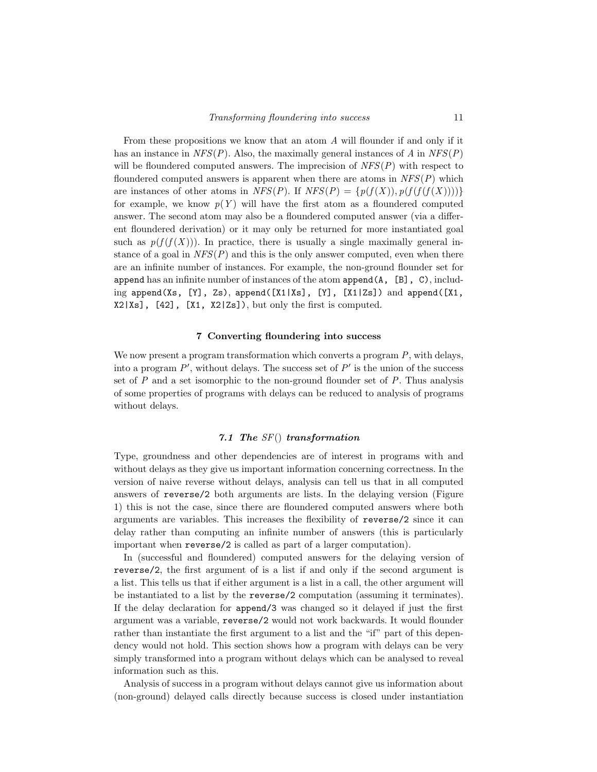From these propositions we know that an atom A will flounder if and only if it has an instance in  $NFS(P)$ . Also, the maximally general instances of A in  $NFS(P)$ will be floundered computed answers. The imprecision of  $NFS(P)$  with respect to floundered computed answers is apparent when there are atoms in  $NFS(P)$  which are instances of other atoms in  $NFS(P)$ . If  $NFS(P) = \{p(f(X)), p(f(f(f(X))))\}$ for example, we know  $p(Y)$  will have the first atom as a floundered computed answer. The second atom may also be a floundered computed answer (via a different floundered derivation) or it may only be returned for more instantiated goal such as  $p(f(f(X)))$ . In practice, there is usually a single maximally general instance of a goal in  $NFS(P)$  and this is the only answer computed, even when there are an infinite number of instances. For example, the non-ground flounder set for append has an infinite number of instances of the atom  $append(A, [B], C)$ , including append(Xs, [Y], Zs), append([X1|Xs], [Y], [X1|Zs]) and append([X1, X2|Xs], [42], [X1, X2|Zs]), but only the first is computed.

#### 7 Converting floundering into success

We now present a program transformation which converts a program  $P$ , with delays, into a program  $P'$ , without delays. The success set of  $P'$  is the union of the success set of  $P$  and a set isomorphic to the non-ground flounder set of  $P$ . Thus analysis of some properties of programs with delays can be reduced to analysis of programs without delays.

## 7.1 The  $SF()$  transformation

Type, groundness and other dependencies are of interest in programs with and without delays as they give us important information concerning correctness. In the version of naive reverse without delays, analysis can tell us that in all computed answers of reverse/2 both arguments are lists. In the delaying version (Figure 1) this is not the case, since there are floundered computed answers where both arguments are variables. This increases the flexibility of reverse/2 since it can delay rather than computing an infinite number of answers (this is particularly important when reverse/2 is called as part of a larger computation).

In (successful and floundered) computed answers for the delaying version of reverse/2, the first argument of is a list if and only if the second argument is a list. This tells us that if either argument is a list in a call, the other argument will be instantiated to a list by the reverse/2 computation (assuming it terminates). If the delay declaration for append/3 was changed so it delayed if just the first argument was a variable, reverse/2 would not work backwards. It would flounder rather than instantiate the first argument to a list and the "if" part of this dependency would not hold. This section shows how a program with delays can be very simply transformed into a program without delays which can be analysed to reveal information such as this.

Analysis of success in a program without delays cannot give us information about (non-ground) delayed calls directly because success is closed under instantiation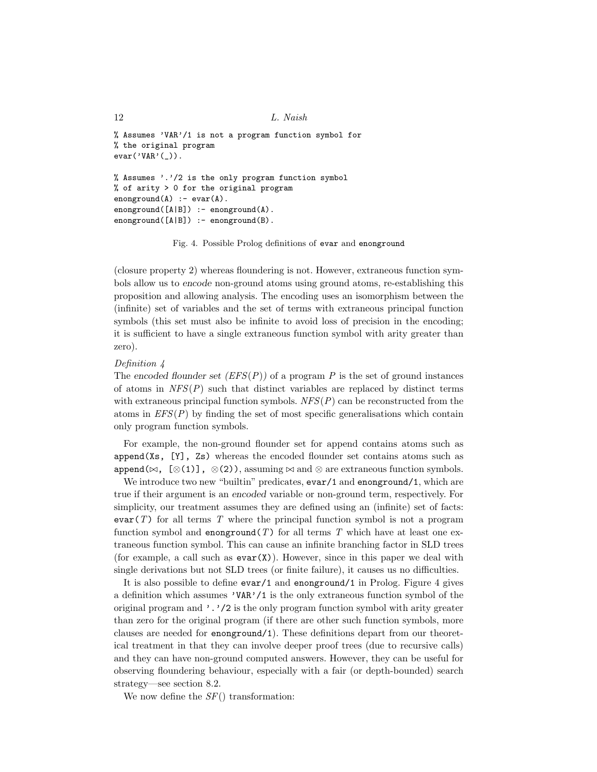```
12 L. Naish
```

```
% Assumes 'VAR'/1 is not a program function symbol for
% the original program
evar('VAR'(_)).
% Assumes '.'/2 is the only program function symbol
% of arity > 0 for the original program
enonground(A) :- evar(A).
enonground([A|B]) :- enonground(A).
enonground([A|B]) :- enonground(B).
```
Fig. 4. Possible Prolog definitions of evar and enonground

(closure property 2) whereas floundering is not. However, extraneous function symbols allow us to encode non-ground atoms using ground atoms, re-establishing this proposition and allowing analysis. The encoding uses an isomorphism between the (infinite) set of variables and the set of terms with extraneous principal function symbols (this set must also be infinite to avoid loss of precision in the encoding; it is sufficient to have a single extraneous function symbol with arity greater than zero).

#### Definition 4

The encoded flounder set  $(EFS(P))$  of a program P is the set of ground instances of atoms in  $NFS(P)$  such that distinct variables are replaced by distinct terms with extraneous principal function symbols.  $NFS(P)$  can be reconstructed from the atoms in  $EFS(P)$  by finding the set of most specific generalisations which contain only program function symbols.

For example, the non-ground flounder set for append contains atoms such as append(Xs, [Y], Zs) whereas the encoded flounder set contains atoms such as append( $\bowtie$ , [⊗(1)], ⊗(2)), assuming  $\bowtie$  and ⊗ are extraneous function symbols.

We introduce two new "builtin" predicates, evar/1 and enonground/1, which are true if their argument is an encoded variable or non-ground term, respectively. For simplicity, our treatment assumes they are defined using an (infinite) set of facts:  $\text{evar}(T)$  for all terms T where the principal function symbol is not a program function symbol and enonground  $(T)$  for all terms T which have at least one extraneous function symbol. This can cause an infinite branching factor in SLD trees (for example, a call such as  $\text{evar}(X)$ ). However, since in this paper we deal with single derivations but not SLD trees (or finite failure), it causes us no difficulties.

It is also possible to define  $\text{evar}/1$  and  $\text{enonground}/1$  in Prolog. Figure 4 gives a definition which assumes 'VAR'/1 is the only extraneous function symbol of the original program and  $\cdot$ .  $\cdot$  /2 is the only program function symbol with arity greater than zero for the original program (if there are other such function symbols, more clauses are needed for enonground/1). These definitions depart from our theoretical treatment in that they can involve deeper proof trees (due to recursive calls) and they can have non-ground computed answers. However, they can be useful for observing floundering behaviour, especially with a fair (or depth-bounded) search strategy—see section 8.2.

We now define the  $SF()$  transformation: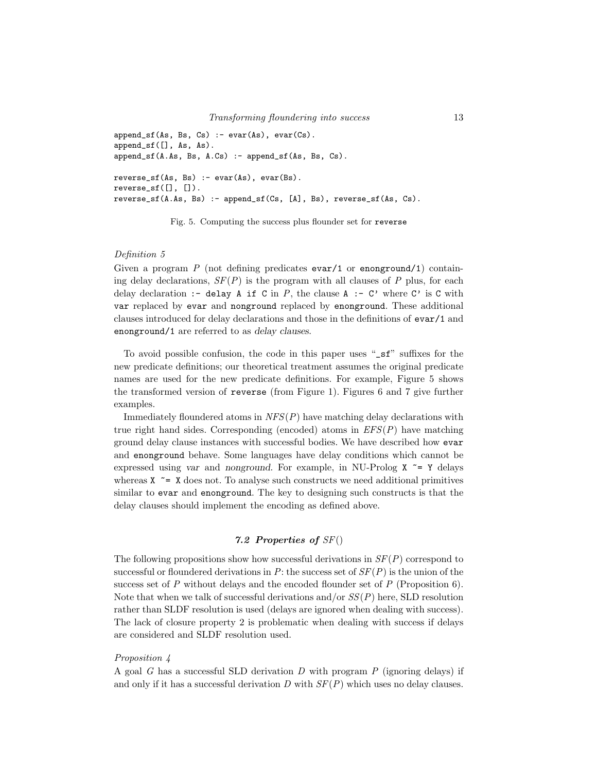```
append_sf(As, Bs, Cs) :- evar(As), evar(Cs).
append_sf([], As, As).
append_sf(A.As, Bs, A.Cs) :- append_sf(As, Bs, Cs).
reverse_s f(As, Bs) :- var(As), evar(Bs).reverse_s(f[], []).reverse_sf(A.As, Bs) :- append_sf(Cs, [A], Bs), reverse_sf(As, Cs).
```
Fig. 5. Computing the success plus flounder set for reverse

#### Definition 5

Given a program  $P$  (not defining predicates evar/1 or enonground/1) containing delay declarations,  $SF(P)$  is the program with all clauses of P plus, for each delay declaration :- delay A if C in P, the clause A :- C' where C' is C with var replaced by evar and nonground replaced by enonground. These additional clauses introduced for delay declarations and those in the definitions of evar/1 and enonground/1 are referred to as delay clauses.

To avoid possible confusion, the code in this paper uses "\_sf" suffixes for the new predicate definitions; our theoretical treatment assumes the original predicate names are used for the new predicate definitions. For example, Figure 5 shows the transformed version of reverse (from Figure 1). Figures 6 and 7 give further examples.

Immediately floundered atoms in  $NFS(P)$  have matching delay declarations with true right hand sides. Corresponding (encoded) atoms in  $EFS(P)$  have matching ground delay clause instances with successful bodies. We have described how evar and enonground behave. Some languages have delay conditions which cannot be expressed using var and nonground. For example, in NU-Prolog  $X \cong Y$  delays whereas  $X \cong X$  does not. To analyse such constructs we need additional primitives similar to evar and enonground. The key to designing such constructs is that the delay clauses should implement the encoding as defined above.

# 7.2 Properties of SF()

The following propositions show how successful derivations in  $SF(P)$  correspond to successful or floundered derivations in P: the success set of  $SF(P)$  is the union of the success set of  $P$  without delays and the encoded flounder set of  $P$  (Proposition 6). Note that when we talk of successful derivations and/or  $SS(P)$  here, SLD resolution rather than SLDF resolution is used (delays are ignored when dealing with success). The lack of closure property 2 is problematic when dealing with success if delays are considered and SLDF resolution used.

## Proposition 4

A goal G has a successful SLD derivation D with program  $P$  (ignoring delays) if and only if it has a successful derivation D with  $SF(P)$  which uses no delay clauses.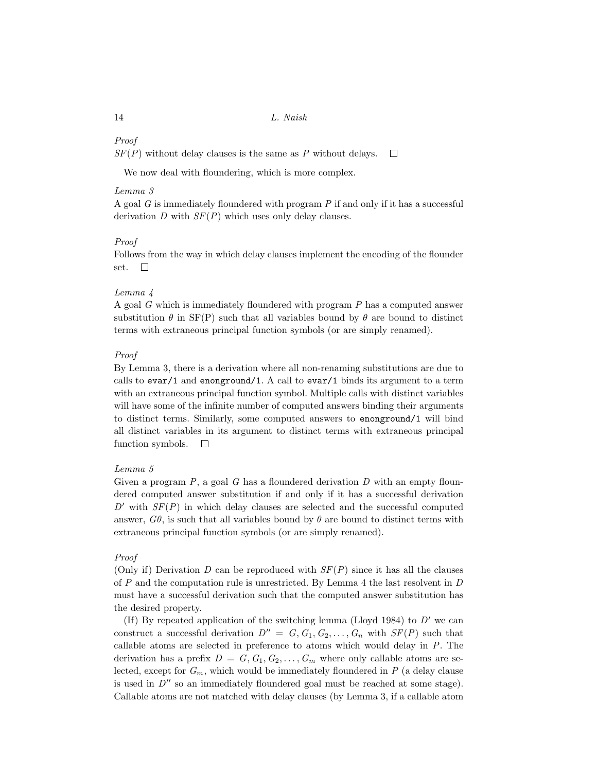## Proof

 $SF(P)$  without delay clauses is the same as P without delays.  $\Box$ 

We now deal with floundering, which is more complex.

## Lemma 3

A goal  $G$  is immediately floundered with program  $P$  if and only if it has a successful derivation D with  $SF(P)$  which uses only delay clauses.

# Proof

Follows from the way in which delay clauses implement the encoding of the flounder set.  $\Box$ 

## Lemma 4

A goal G which is immediately floundered with program P has a computed answer substitution  $\theta$  in SF(P) such that all variables bound by  $\theta$  are bound to distinct terms with extraneous principal function symbols (or are simply renamed).

## Proof

By Lemma 3, there is a derivation where all non-renaming substitutions are due to calls to  $evar/1$  and enonground/1. A call to  $evar/1$  binds its argument to a term with an extraneous principal function symbol. Multiple calls with distinct variables will have some of the infinite number of computed answers binding their arguments to distinct terms. Similarly, some computed answers to enonground/1 will bind all distinct variables in its argument to distinct terms with extraneous principal function symbols.  $\Box$ 

## Lemma 5

Given a program  $P$ , a goal  $G$  has a floundered derivation  $D$  with an empty floundered computed answer substitution if and only if it has a successful derivation  $D'$  with  $SF(P)$  in which delay clauses are selected and the successful computed answer,  $G\theta$ , is such that all variables bound by  $\theta$  are bound to distinct terms with extraneous principal function symbols (or are simply renamed).

## Proof

(Only if) Derivation D can be reproduced with  $SF(P)$  since it has all the clauses of P and the computation rule is unrestricted. By Lemma 4 the last resolvent in D must have a successful derivation such that the computed answer substitution has the desired property.

(If) By repeated application of the switching lemma (Lloyd 1984) to  $D'$  we can construct a successful derivation  $D'' = G, G_1, G_2, \ldots, G_n$  with  $SF(P)$  such that callable atoms are selected in preference to atoms which would delay in P. The derivation has a prefix  $D = G, G_1, G_2, \ldots, G_m$  where only callable atoms are selected, except for  $G_m$ , which would be immediately floundered in P (a delay clause is used in  $D^{\prime\prime}$  so an immediately floundered goal must be reached at some stage). Callable atoms are not matched with delay clauses (by Lemma 3, if a callable atom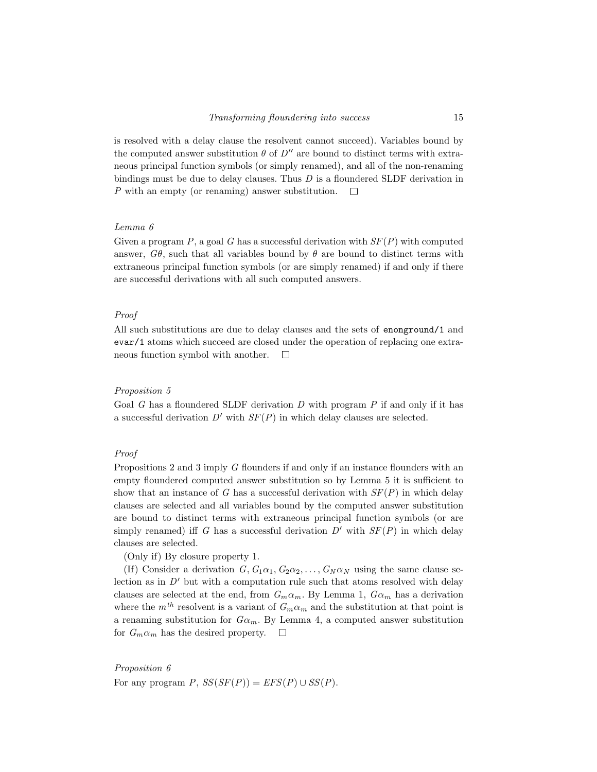is resolved with a delay clause the resolvent cannot succeed). Variables bound by the computed answer substitution  $\theta$  of  $D''$  are bound to distinct terms with extraneous principal function symbols (or simply renamed), and all of the non-renaming bindings must be due to delay clauses. Thus  $D$  is a floundered SLDF derivation in P with an empty (or renaming) answer substitution.  $\Box$ 

## Lemma 6

Given a program P, a goal G has a successful derivation with  $SF(P)$  with computed answer,  $G\theta$ , such that all variables bound by  $\theta$  are bound to distinct terms with extraneous principal function symbols (or are simply renamed) if and only if there are successful derivations with all such computed answers.

## Proof

All such substitutions are due to delay clauses and the sets of enonground/1 and evar/1 atoms which succeed are closed under the operation of replacing one extraneous function symbol with another.  $\Box$ 

## Proposition 5

Goal G has a floundered SLDF derivation  $D$  with program  $P$  if and only if it has a successful derivation  $D'$  with  $SF(P)$  in which delay clauses are selected.

## Proof

Propositions 2 and 3 imply G flounders if and only if an instance flounders with an empty floundered computed answer substitution so by Lemma 5 it is sufficient to show that an instance of G has a successful derivation with  $SF(P)$  in which delay clauses are selected and all variables bound by the computed answer substitution are bound to distinct terms with extraneous principal function symbols (or are simply renamed) iff G has a successful derivation  $D'$  with  $SF(P)$  in which delay clauses are selected.

(Only if) By closure property 1.

(If) Consider a derivation  $G, G_1\alpha_1, G_2\alpha_2, \ldots, G_N\alpha_N$  using the same clause selection as in  $D'$  but with a computation rule such that atoms resolved with delay clauses are selected at the end, from  $G_m \alpha_m$ . By Lemma 1,  $G \alpha_m$  has a derivation where the  $m^{th}$  resolvent is a variant of  $G_m \alpha_m$  and the substitution at that point is a renaming substitution for  $G\alpha_m$ . By Lemma 4, a computed answer substitution for  $G_m \alpha_m$  has the desired property.  $\square$ 

Proposition 6 For any program  $P$ ,  $SS(SF(P)) = EFS(P) \cup SS(P)$ .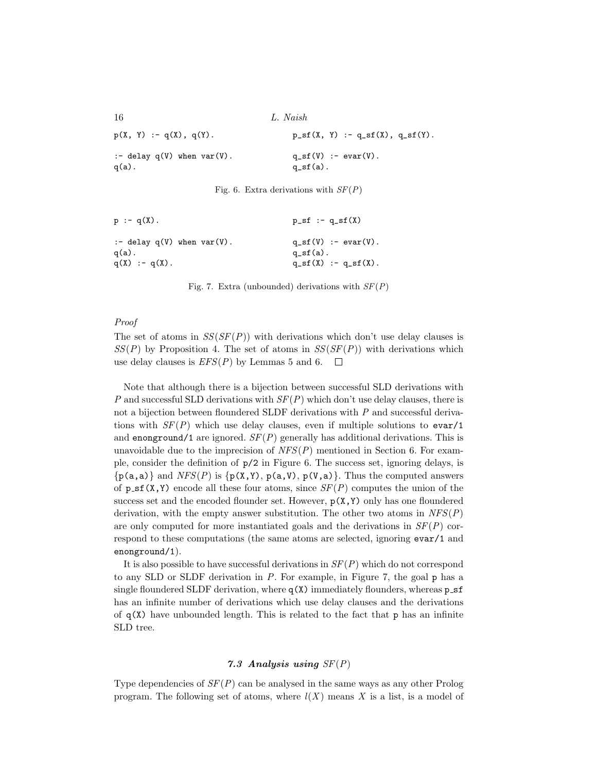16 L. Naish  $p(X, Y) := q(X), q(Y).$   $p_s f(X, Y) := q_s f(X), q_s f(Y).$ :- delay  $q(V)$  when  $var(V)$ .  $q\_sf(V)$  :- evar(V).  $q(a)$ .  $q_s f(a)$ .

Fig. 6. Extra derivations with  $SF(P)$ 

| $p := q(X)$ .                               | $p_s f := q_s f(X)$                              |
|---------------------------------------------|--------------------------------------------------|
| :- delay $q(V)$ when $var(V)$ .<br>$q(a)$ . | $q_s(f(V)) := \text{evar}(V)$ .<br>$q_s(f(a))$ . |
| $q(X) := q(X)$ .                            | $q_s(f(X)) := q_s(f(X)).$                        |

Fig. 7. Extra (unbounded) derivations with  $SF(P)$ 

## Proof

The set of atoms in  $SS(SF(P))$  with derivations which don't use delay clauses is  $SS(P)$  by Proposition 4. The set of atoms in  $SS(SF(P))$  with derivations which use delay clauses is  $EFS(P)$  by Lemmas 5 and 6.  $\Box$ 

Note that although there is a bijection between successful SLD derivations with P and successful SLD derivations with  $SF(P)$  which don't use delay clauses, there is not a bijection between floundered SLDF derivations with  $P$  and successful derivations with  $SF(P)$  which use delay clauses, even if multiple solutions to evar/1 and enonground/1 are ignored.  $SF(P)$  generally has additional derivations. This is unavoidable due to the imprecision of  $NFS(P)$  mentioned in Section 6. For example, consider the definition of p/2 in Figure 6. The success set, ignoring delays, is  $\{p(a,a)\}\$  and  $NFS(P)$  is  $\{p(X,Y), p(a,V), p(V,a)\}\$ . Thus the computed answers of  $p_{\text{S}}(X,Y)$  encode all these four atoms, since  $SF(P)$  computes the union of the success set and the encoded flounder set. However,  $p(X, Y)$  only has one floundered derivation, with the empty answer substitution. The other two atoms in  $NFS(P)$ are only computed for more instantiated goals and the derivations in  $SF(P)$  correspond to these computations (the same atoms are selected, ignoring evar/1 and enonground/1).

It is also possible to have successful derivations in  $SF(P)$  which do not correspond to any SLD or SLDF derivation in  $P$ . For example, in Figure 7, the goal  $p$  has a single floundered SLDF derivation, where  $q(X)$  immediately flounders, whereas  $p\_sf$ has an infinite number of derivations which use delay clauses and the derivations of  $q(X)$  have unbounded length. This is related to the fact that p has an infinite SLD tree.

## 7.3 Analysis using  $SF(P)$

Type dependencies of  $SF(P)$  can be analysed in the same ways as any other Prolog program. The following set of atoms, where  $l(X)$  means X is a list, is a model of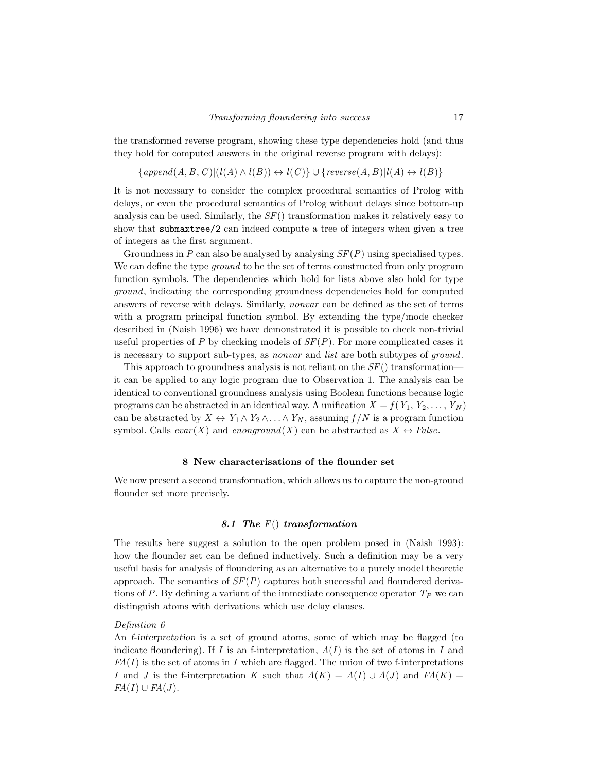the transformed reverse program, showing these type dependencies hold (and thus they hold for computed answers in the original reverse program with delays):

 ${append(A, B, C)|(l(A) \wedge l(B)) \leftrightarrow l(C)} \cup {reverse(A, B)|l(A) \leftrightarrow l(B)}$ 

It is not necessary to consider the complex procedural semantics of Prolog with delays, or even the procedural semantics of Prolog without delays since bottom-up analysis can be used. Similarly, the  $SF()$  transformation makes it relatively easy to show that submaxtree/2 can indeed compute a tree of integers when given a tree of integers as the first argument.

Groundness in P can also be analysed by analysing  $SF(P)$  using specialised types. We can define the type *ground* to be the set of terms constructed from only program function symbols. The dependencies which hold for lists above also hold for type ground, indicating the corresponding groundness dependencies hold for computed answers of reverse with delays. Similarly, nonvar can be defined as the set of terms with a program principal function symbol. By extending the type/mode checker described in (Naish 1996) we have demonstrated it is possible to check non-trivial useful properties of P by checking models of  $SF(P)$ . For more complicated cases it is necessary to support sub-types, as nonvar and list are both subtypes of ground.

This approach to groundness analysis is not reliant on the  $SF()$  transformation it can be applied to any logic program due to Observation 1. The analysis can be identical to conventional groundness analysis using Boolean functions because logic programs can be abstracted in an identical way. A unification  $X = f(Y_1, Y_2, \ldots, Y_N)$ can be abstracted by  $X \leftrightarrow Y_1 \wedge Y_2 \wedge \ldots \wedge Y_N$ , assuming  $f/N$  is a program function symbol. Calls  $evar(X)$  and  $enonground(X)$  can be abstracted as  $X \leftrightarrow False$ .

## 8 New characterisations of the flounder set

We now present a second transformation, which allows us to capture the non-ground flounder set more precisely.

# 8.1 The  $F()$  transformation

The results here suggest a solution to the open problem posed in (Naish 1993): how the flounder set can be defined inductively. Such a definition may be a very useful basis for analysis of floundering as an alternative to a purely model theoretic approach. The semantics of  $SF(P)$  captures both successful and floundered derivations of P. By defining a variant of the immediate consequence operator  $T<sub>P</sub>$  we can distinguish atoms with derivations which use delay clauses.

#### Definition 6

An f-interpretation is a set of ground atoms, some of which may be flagged (to indicate floundering). If I is an f-interpretation,  $A(I)$  is the set of atoms in I and  $FA(I)$  is the set of atoms in I which are flagged. The union of two f-interpretations I and J is the f-interpretation K such that  $A(K) = A(I) \cup A(J)$  and  $FA(K) =$  $FA(I) \cup FA(J)$ .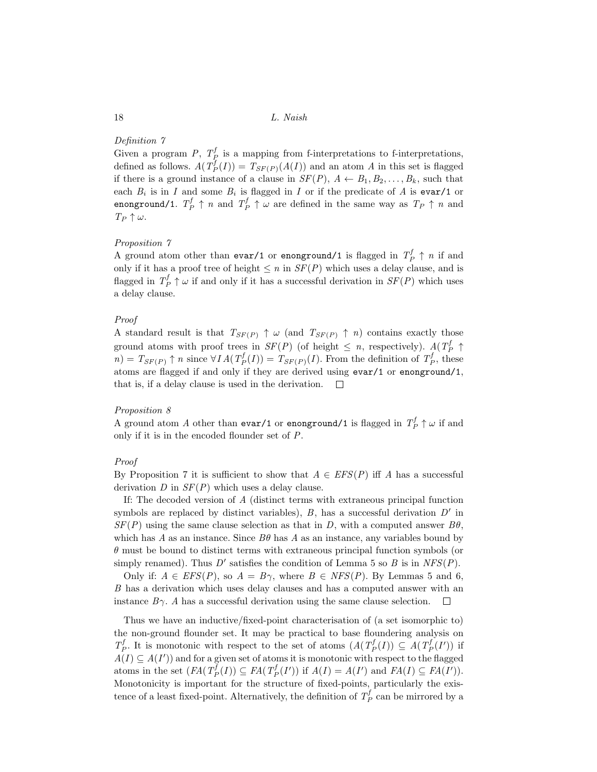## Definition 7

Given a program P,  $T_P^f$  is a mapping from f-interpretations to f-interpretations, defined as follows.  $A(T^f_P(I)) = T_{SF(P)}(A(I))$  and an atom A in this set is flagged if there is a ground instance of a clause in  $SF(P)$ ,  $A \leftarrow B_1, B_2, \ldots, B_k$ , such that each  $B_i$  is in I and some  $B_i$  is flagged in I or if the predicate of A is evar/1 or enonground/1.  $T_P^f \uparrow n$  and  $T_P^f \uparrow \omega$  are defined in the same way as  $T_P \uparrow n$  and  $T_P \uparrow \omega$ .

## Proposition 7

A ground atom other than evar/1 or enonground/1 is flagged in  $T_p^f \uparrow n$  if and only if it has a proof tree of height  $\leq n$  in  $SF(P)$  which uses a delay clause, and is flagged in  $T_P^f \uparrow \omega$  if and only if it has a successful derivation in  $SF(P)$  which uses a delay clause.

## Proof

A standard result is that  $T_{SF(P)} \uparrow \omega$  (and  $T_{SF(P)} \uparrow n$ ) contains exactly those ground atoms with proof trees in  $SF(P)$  (of height  $\leq n$ , respectively).  $A(T_P^f \uparrow)$  $n) = T_{SF(P)} \uparrow n$  since  $\forall IA(T_P^f(I)) = T_{SF(P)}(I)$ . From the definition of  $T_P^f$ , these atoms are flagged if and only if they are derived using evar/1 or enonground/1, that is, if a delay clause is used in the derivation.  $\Box$ 

## Proposition 8

A ground atom A other than  $\texttt{evar}/1$  or  $\texttt{enonground}/1$  is flagged in  $T^f_P \uparrow \omega$  if and only if it is in the encoded flounder set of P.

## Proof

By Proposition 7 it is sufficient to show that  $A \in EFS(P)$  iff A has a successful derivation  $D$  in  $SF(P)$  which uses a delay clause.

If: The decoded version of A (distinct terms with extraneous principal function symbols are replaced by distinct variables),  $B$ , has a successful derivation  $D'$  in  $SF(P)$  using the same clause selection as that in D, with a computed answer  $B\theta$ , which has A as an instance. Since  $B\theta$  has A as an instance, any variables bound by  $\theta$  must be bound to distinct terms with extraneous principal function symbols (or simply renamed). Thus  $D'$  satisfies the condition of Lemma 5 so  $B$  is in  $NFS(P)$ .

Only if:  $A \in EFS(P)$ , so  $A = B\gamma$ , where  $B \in NFS(P)$ . By Lemmas 5 and 6, B has a derivation which uses delay clauses and has a computed answer with an instance  $B\gamma$ . A has a successful derivation using the same clause selection.  $\Box$ 

Thus we have an inductive/fixed-point characterisation of (a set isomorphic to) the non-ground flounder set. It may be practical to base floundering analysis on  $T_P^f$ . It is monotonic with respect to the set of atoms  $(A(T_P^f(I)) \subseteq A(T_P^f(I'))$  if  $A(I) \subseteq A(I')$  and for a given set of atoms it is monotonic with respect to the flagged atoms in the set  $(FA(T^f_P(I)) \subseteq FA(T^f_P(I'))$  if  $A(I) = A(I')$  and  $FA(I) \subseteq FA(I')$ . Monotonicity is important for the structure of fixed-points, particularly the existence of a least fixed-point. Alternatively, the definition of  $T^f_P$  can be mirrored by a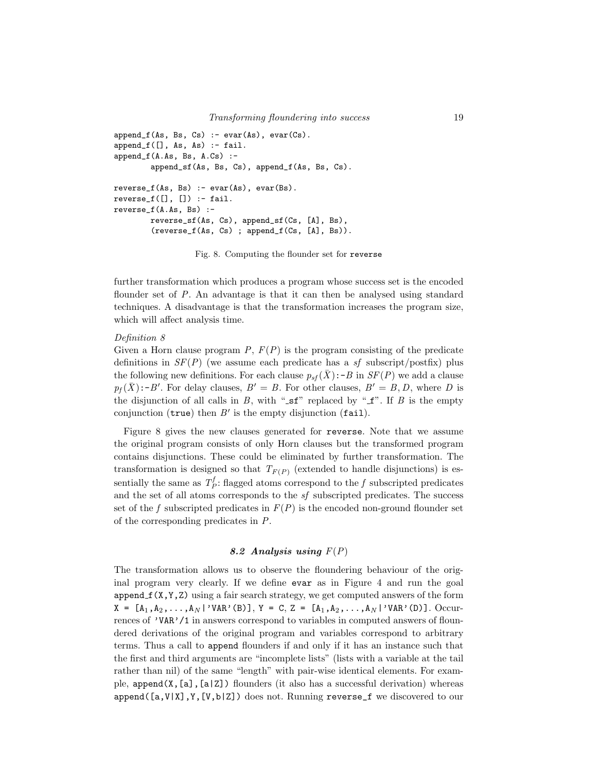```
append_f(As, Bs, Cs) :- evar(As), evar(Cs).
append_f([], As, As) :- fail.append_f(A.As, Bs, A.Cs) :-
        append_sf(As, Bs, Cs), append_f(As, Bs, Cs).
reverse_f(As, Bs) :- evar(As), evar(Bs).reverse_f([], []) := fail.reverse_f(A.As, Bs) :-
       reverse_sf(As, Cs), append_sf(Cs, [A], Bs),
        (reverse_f(As, Cs) ; append_f(Cs, [A], Bs)).
```
Fig. 8. Computing the flounder set for reverse

further transformation which produces a program whose success set is the encoded flounder set of P. An advantage is that it can then be analysed using standard techniques. A disadvantage is that the transformation increases the program size, which will affect analysis time.

# Definition 8

Given a Horn clause program  $P, F(P)$  is the program consisting of the predicate definitions in  $SF(P)$  (we assume each predicate has a sf subscript/postfix) plus the following new definitions. For each clause  $p_{sf}(\bar{X})$ :-B in  $SF(P)$  we add a clause  $p_f(\bar{X})$ :-B'. For delay clauses,  $B' = B$ . For other clauses,  $B' = B, D$ , where D is the disjunction of all calls in B, with " $\mathsf{sf}$ " replaced by " $\mathsf{tf}$ ". If B is the empty conjunction ( $true$ ) then  $B'$  is the empty disjunction (fail).

Figure 8 gives the new clauses generated for reverse. Note that we assume the original program consists of only Horn clauses but the transformed program contains disjunctions. These could be eliminated by further transformation. The transformation is designed so that  $T_{F(P)}$  (extended to handle disjunctions) is essentially the same as  $T_P^f$ : flagged atoms correspond to the f subscripted predicates and the set of all atoms corresponds to the  $sf$  subscripted predicates. The success set of the f subscripted predicates in  $F(P)$  is the encoded non-ground flounder set of the corresponding predicates in P.

# 8.2 Analysis using  $F(P)$

The transformation allows us to observe the floundering behaviour of the original program very clearly. If we define evar as in Figure 4 and run the goal  $append_f(X, Y, Z)$  using a fair search strategy, we get computed answers of the form  $X = [A_1, A_2, \ldots, A_N]$  'VAR'(B)],  $Y = C$ ,  $Z = [A_1, A_2, \ldots, A_N]$  'VAR'(D)]. Occurrences of 'VAR'/1 in answers correspond to variables in computed answers of floundered derivations of the original program and variables correspond to arbitrary terms. Thus a call to append flounders if and only if it has an instance such that the first and third arguments are "incomplete lists" (lists with a variable at the tail rather than nil) of the same "length" with pair-wise identical elements. For example, append(X, $[a]$ , $[a|Z]$ ) flounders (it also has a successful derivation) whereas  $append([a,V|X],Y,[V,b|Z])$  does not. Running reverse\_f we discovered to our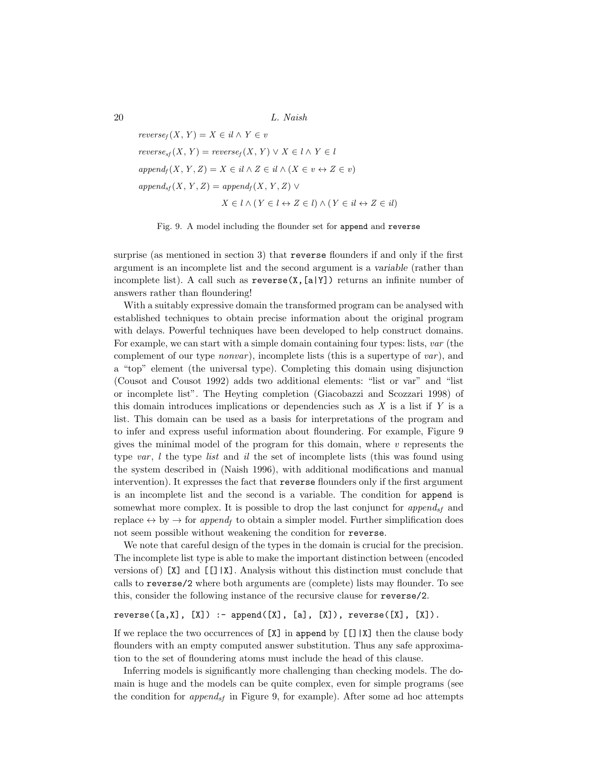$reverse_f(X, Y) = X \in il \wedge Y \in v$  $reverse_{sf}(X, Y) = reverse_{sf}(X, Y) \vee X \in l \wedge Y \in l$  $append_f(X, Y, Z) = X \in il \wedge Z \in il \wedge (X \in v \leftrightarrow Z \in v)$  $append_{sf}(X, Y, Z) = append_{f}(X, Y, Z) \vee$  $X \in l \wedge (Y \in l \leftrightarrow Z \in l) \wedge (Y \in il \leftrightarrow Z \in il)$ 

Fig. 9. A model including the flounder set for append and reverse

surprise (as mentioned in section 3) that reverse flounders if and only if the first argument is an incomplete list and the second argument is a variable (rather than incomplete list). A call such as  $\mathbf{reverse}(X,[a|Y])$  returns an infinite number of answers rather than floundering!

With a suitably expressive domain the transformed program can be analysed with established techniques to obtain precise information about the original program with delays. Powerful techniques have been developed to help construct domains. For example, we can start with a simple domain containing four types: lists, var (the complement of our type *nonvar*), incomplete lists (this is a supertype of var), and a "top" element (the universal type). Completing this domain using disjunction (Cousot and Cousot 1992) adds two additional elements: "list or var" and "list or incomplete list". The Heyting completion (Giacobazzi and Scozzari 1998) of this domain introduces implications or dependencies such as  $X$  is a list if  $Y$  is a list. This domain can be used as a basis for interpretations of the program and to infer and express useful information about floundering. For example, Figure 9 gives the minimal model of the program for this domain, where  $v$  represents the type var,  $l$  the type list and il the set of incomplete lists (this was found using the system described in (Naish 1996), with additional modifications and manual intervention). It expresses the fact that reverse flounders only if the first argument is an incomplete list and the second is a variable. The condition for append is somewhat more complex. It is possible to drop the last conjunct for append<sub>sf</sub> and replace  $\leftrightarrow$  by  $\rightarrow$  for append<sub>f</sub> to obtain a simpler model. Further simplification does not seem possible without weakening the condition for reverse.

We note that careful design of the types in the domain is crucial for the precision. The incomplete list type is able to make the important distinction between (encoded versions of)  $[X]$  and  $[[x]]$ . Analysis without this distinction must conclude that calls to reverse/2 where both arguments are (complete) lists may flounder. To see this, consider the following instance of the recursive clause for reverse/2.

```
reverse([a, X], [X]) :- append([X], [a], [X]), reverse([X], [X]).
```
If we replace the two occurrences of  $[X]$  in append by  $[[1]X]$  then the clause body flounders with an empty computed answer substitution. Thus any safe approximation to the set of floundering atoms must include the head of this clause.

Inferring models is significantly more challenging than checking models. The domain is huge and the models can be quite complex, even for simple programs (see the condition for  $append_{sf}$  in Figure 9, for example). After some ad hoc attempts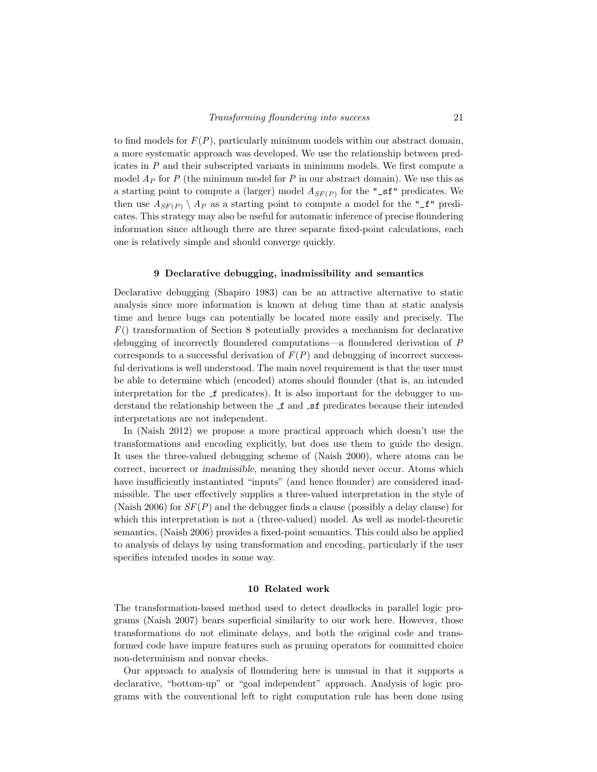to find models for  $F(P)$ , particularly minimum models within our abstract domain, a more systematic approach was developed. We use the relationship between predicates in  $P$  and their subscripted variants in minimum models. We first compute a model  $A_P$  for P (the minimum model for P in our abstract domain). We use this as a starting point to compute a (larger) model  $A_{SF(P)}$  for the "sf" predicates. We then use  $A_{SF(P)} \setminus A_P$  as a starting point to compute a model for the "\_f" predicates. This strategy may also be useful for automatic inference of precise floundering information since although there are three separate fixed-point calculations, each one is relatively simple and should converge quickly.

#### 9 Declarative debugging, inadmissibility and semantics

Declarative debugging (Shapiro 1983) can be an attractive alternative to static analysis since more information is known at debug time than at static analysis time and hence bugs can potentially be located more easily and precisely. The  $F()$  transformation of Section 8 potentially provides a mechanism for declarative debugging of incorrectly floundered computations—a floundered derivation of P corresponds to a successful derivation of  $F(P)$  and debugging of incorrect successful derivations is well understood. The main novel requirement is that the user must be able to determine which (encoded) atoms should flounder (that is, an intended interpretation for the  $\mathcal{I}$  predicates). It is also important for the debugger to understand the relationship between the  $\text{\textsterling}$  and  $\text{\textsterling}$  predicates because their intended interpretations are not independent.

In (Naish 2012) we propose a more practical approach which doesn't use the transformations and encoding explicitly, but does use them to guide the design. It uses the three-valued debugging scheme of (Naish 2000), where atoms can be correct, incorrect or inadmissible, meaning they should never occur. Atoms which have insufficiently instantiated "inputs" (and hence flounder) are considered inadmissible. The user effectively supplies a three-valued interpretation in the style of (Naish 2006) for  $SF(P)$  and the debugger finds a clause (possibly a delay clause) for which this interpretation is not a (three-valued) model. As well as model-theoretic semantics, (Naish 2006) provides a fixed-point semantics. This could also be applied to analysis of delays by using transformation and encoding, particularly if the user specifies intended modes in some way.

#### 10 Related work

The transformation-based method used to detect deadlocks in parallel logic programs (Naish 2007) bears superficial similarity to our work here. However, those transformations do not eliminate delays, and both the original code and transformed code have impure features such as pruning operators for committed choice non-determinism and nonvar checks.

Our approach to analysis of floundering here is unusual in that it supports a declarative, "bottom-up" or "goal independent" approach. Analysis of logic programs with the conventional left to right computation rule has been done using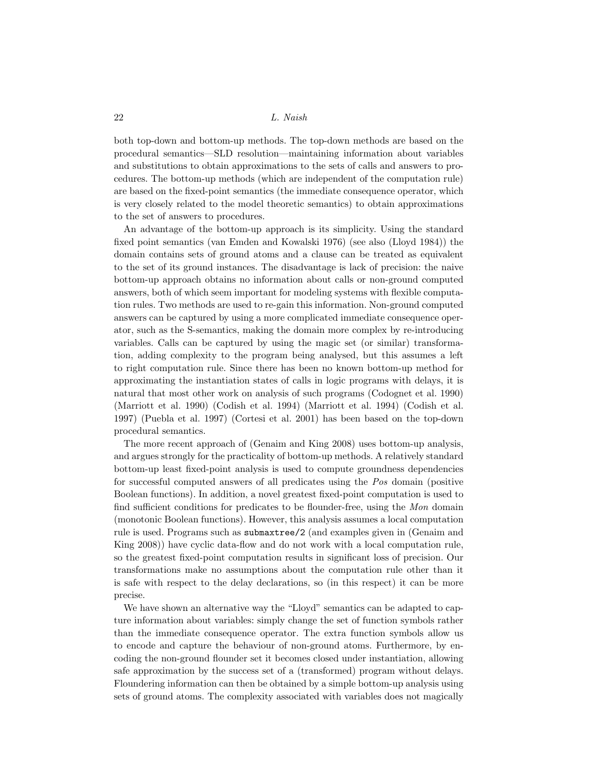both top-down and bottom-up methods. The top-down methods are based on the procedural semantics—SLD resolution—maintaining information about variables and substitutions to obtain approximations to the sets of calls and answers to procedures. The bottom-up methods (which are independent of the computation rule) are based on the fixed-point semantics (the immediate consequence operator, which is very closely related to the model theoretic semantics) to obtain approximations to the set of answers to procedures.

An advantage of the bottom-up approach is its simplicity. Using the standard fixed point semantics (van Emden and Kowalski 1976) (see also (Lloyd 1984)) the domain contains sets of ground atoms and a clause can be treated as equivalent to the set of its ground instances. The disadvantage is lack of precision: the naive bottom-up approach obtains no information about calls or non-ground computed answers, both of which seem important for modeling systems with flexible computation rules. Two methods are used to re-gain this information. Non-ground computed answers can be captured by using a more complicated immediate consequence operator, such as the S-semantics, making the domain more complex by re-introducing variables. Calls can be captured by using the magic set (or similar) transformation, adding complexity to the program being analysed, but this assumes a left to right computation rule. Since there has been no known bottom-up method for approximating the instantiation states of calls in logic programs with delays, it is natural that most other work on analysis of such programs (Codognet et al. 1990) (Marriott et al. 1990) (Codish et al. 1994) (Marriott et al. 1994) (Codish et al. 1997) (Puebla et al. 1997) (Cortesi et al. 2001) has been based on the top-down procedural semantics.

The more recent approach of (Genaim and King 2008) uses bottom-up analysis, and argues strongly for the practicality of bottom-up methods. A relatively standard bottom-up least fixed-point analysis is used to compute groundness dependencies for successful computed answers of all predicates using the Pos domain (positive Boolean functions). In addition, a novel greatest fixed-point computation is used to find sufficient conditions for predicates to be flounder-free, using the Mon domain (monotonic Boolean functions). However, this analysis assumes a local computation rule is used. Programs such as submaxtree/2 (and examples given in (Genaim and King 2008)) have cyclic data-flow and do not work with a local computation rule, so the greatest fixed-point computation results in significant loss of precision. Our transformations make no assumptions about the computation rule other than it is safe with respect to the delay declarations, so (in this respect) it can be more precise.

We have shown an alternative way the "Lloyd" semantics can be adapted to capture information about variables: simply change the set of function symbols rather than the immediate consequence operator. The extra function symbols allow us to encode and capture the behaviour of non-ground atoms. Furthermore, by encoding the non-ground flounder set it becomes closed under instantiation, allowing safe approximation by the success set of a (transformed) program without delays. Floundering information can then be obtained by a simple bottom-up analysis using sets of ground atoms. The complexity associated with variables does not magically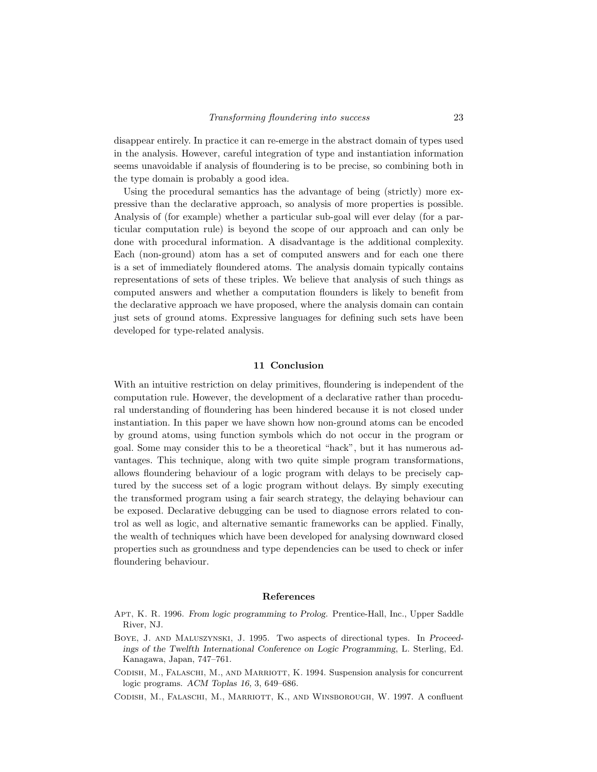disappear entirely. In practice it can re-emerge in the abstract domain of types used in the analysis. However, careful integration of type and instantiation information seems unavoidable if analysis of floundering is to be precise, so combining both in the type domain is probably a good idea.

Using the procedural semantics has the advantage of being (strictly) more expressive than the declarative approach, so analysis of more properties is possible. Analysis of (for example) whether a particular sub-goal will ever delay (for a particular computation rule) is beyond the scope of our approach and can only be done with procedural information. A disadvantage is the additional complexity. Each (non-ground) atom has a set of computed answers and for each one there is a set of immediately floundered atoms. The analysis domain typically contains representations of sets of these triples. We believe that analysis of such things as computed answers and whether a computation flounders is likely to benefit from the declarative approach we have proposed, where the analysis domain can contain just sets of ground atoms. Expressive languages for defining such sets have been developed for type-related analysis.

## 11 Conclusion

With an intuitive restriction on delay primitives, floundering is independent of the computation rule. However, the development of a declarative rather than procedural understanding of floundering has been hindered because it is not closed under instantiation. In this paper we have shown how non-ground atoms can be encoded by ground atoms, using function symbols which do not occur in the program or goal. Some may consider this to be a theoretical "hack", but it has numerous advantages. This technique, along with two quite simple program transformations, allows floundering behaviour of a logic program with delays to be precisely captured by the success set of a logic program without delays. By simply executing the transformed program using a fair search strategy, the delaying behaviour can be exposed. Declarative debugging can be used to diagnose errors related to control as well as logic, and alternative semantic frameworks can be applied. Finally, the wealth of techniques which have been developed for analysing downward closed properties such as groundness and type dependencies can be used to check or infer floundering behaviour.

#### References

- Apt, K. R. 1996. From logic programming to Prolog. Prentice-Hall, Inc., Upper Saddle River, NJ.
- Boye, J. and Maluszynski, J. 1995. Two aspects of directional types. In Proceedings of the Twelfth International Conference on Logic Programming, L. Sterling, Ed. Kanagawa, Japan, 747–761.
- Codish, M., Falaschi, M., and Marriott, K. 1994. Suspension analysis for concurrent logic programs. ACM Toplas 16, 3, 649–686.
- Codish, M., Falaschi, M., Marriott, K., and Winsborough, W. 1997. A confluent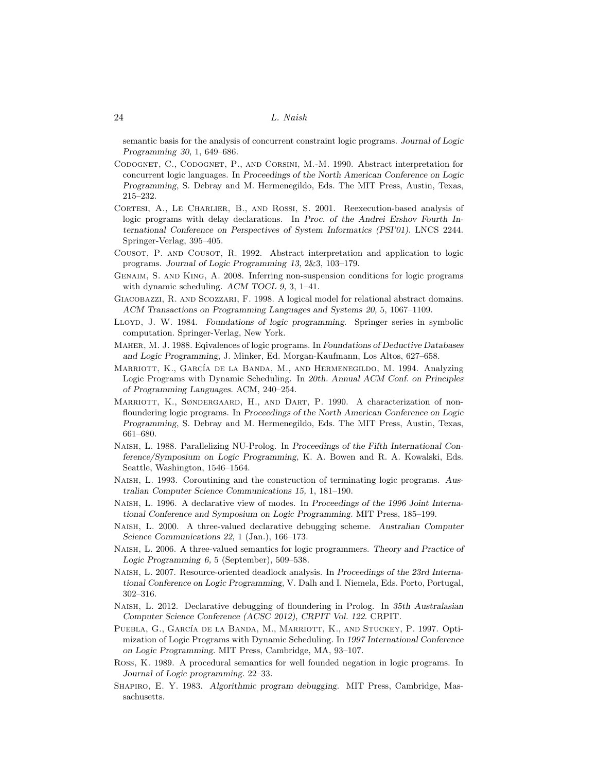semantic basis for the analysis of concurrent constraint logic programs. Journal of Logic Programming 30, 1, 649–686.

- Codognet, C., Codognet, P., and Corsini, M.-M. 1990. Abstract interpretation for concurrent logic languages. In Proceedings of the North American Conference on Logic Programming, S. Debray and M. Hermenegildo, Eds. The MIT Press, Austin, Texas, 215–232.
- Cortesi, A., Le Charlier, B., and Rossi, S. 2001. Reexecution-based analysis of logic programs with delay declarations. In Proc. of the Andrei Ershov Fourth International Conference on Perspectives of System Informatics (PSI'01). LNCS 2244. Springer-Verlag, 395–405.
- Cousot, P. and Cousot, R. 1992. Abstract interpretation and application to logic programs. Journal of Logic Programming 13, 2&3, 103–179.
- Genaim, S. and King, A. 2008. Inferring non-suspension conditions for logic programs with dynamic scheduling. ACM TOCL 9, 3, 1–41.
- Giacobazzi, R. and Scozzari, F. 1998. A logical model for relational abstract domains. ACM Transactions on Programming Languages and Systems 20, 5, 1067–1109.
- Lloyd, J. W. 1984. Foundations of logic programming. Springer series in symbolic computation. Springer-Verlag, New York.
- Maher, M. J. 1988. Eqivalences of logic programs. In Foundations of Deductive Databases and Logic Programming, J. Minker, Ed. Morgan-Kaufmann, Los Altos, 627–658.
- MARRIOTT, K., GARCÍA DE LA BANDA, M., AND HERMENEGILDO, M. 1994. Analyzing Logic Programs with Dynamic Scheduling. In 20th. Annual ACM Conf. on Principles of Programming Languages. ACM, 240–254.
- MARRIOTT, K., SØNDERGAARD, H., AND DART, P. 1990. A characterization of nonfloundering logic programs. In Proceedings of the North American Conference on Logic Programming, S. Debray and M. Hermenegildo, Eds. The MIT Press, Austin, Texas, 661–680.
- Naish, L. 1988. Parallelizing NU-Prolog. In Proceedings of the Fifth International Conference/Symposium on Logic Programming, K. A. Bowen and R. A. Kowalski, Eds. Seattle, Washington, 1546–1564.
- Naish, L. 1993. Coroutining and the construction of terminating logic programs. Australian Computer Science Communications 15, 1, 181–190.
- Naish, L. 1996. A declarative view of modes. In Proceedings of the 1996 Joint International Conference and Symposium on Logic Programming. MIT Press, 185–199.
- Naish, L. 2000. A three-valued declarative debugging scheme. Australian Computer Science Communications 22, 1 (Jan.), 166–173.
- Naish, L. 2006. A three-valued semantics for logic programmers. Theory and Practice of Logic Programming 6, 5 (September), 509–538.
- Naish, L. 2007. Resource-oriented deadlock analysis. In Proceedings of the 23rd International Conference on Logic Programming, V. Dalh and I. Niemela, Eds. Porto, Portugal, 302–316.
- Naish, L. 2012. Declarative debugging of floundering in Prolog. In 35th Australasian Computer Science Conference (ACSC 2012), CRPIT Vol. 122. CRPIT.
- PUEBLA, G., GARCÍA DE LA BANDA, M., MARRIOTT, K., AND STUCKEY, P. 1997. Optimization of Logic Programs with Dynamic Scheduling. In 1997 International Conference on Logic Programming. MIT Press, Cambridge, MA, 93–107.
- Ross, K. 1989. A procedural semantics for well founded negation in logic programs. In Journal of Logic programming. 22–33.
- Shapiro, E. Y. 1983. Algorithmic program debugging. MIT Press, Cambridge, Massachusetts.